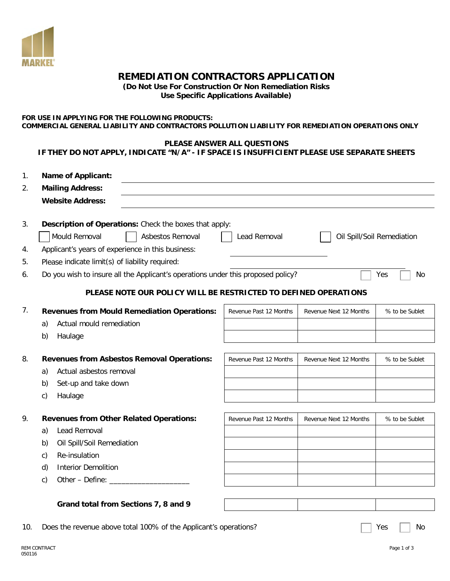

# **REMEDIATION CONTRACTORS APPLICATION**

**(Do Not Use For Construction Or Non Remediation Risks**

**Use Specific Applications Available)** 

#### **FOR USE IN APPLYING FOR THE FOLLOWING PRODUCTS: COMMERCIAL GENERAL LIABILITY AND CONTRACTORS POLLUTION LIABILITY FOR REMEDIATION OPERATIONS ONLY**

# **PLEASE ANSWER ALL QUESTIONS**

## **IF THEY DO NOT APPLY, INDICATE "N/A" - IF SPACE IS INSUFFICIENT PLEASE USE SEPARATE SHEETS**

| 1.<br>2. | <b>Name of Applicant:</b><br><b>Mailing Address:</b>                                          |                        |                        |                            |  |  |  |
|----------|-----------------------------------------------------------------------------------------------|------------------------|------------------------|----------------------------|--|--|--|
|          | <b>Website Address:</b>                                                                       |                        |                        |                            |  |  |  |
| 3.       | Description of Operations: Check the boxes that apply:                                        |                        |                        |                            |  |  |  |
|          | Mould Removal<br>Asbestos Removal                                                             | Lead Removal           |                        | Oil Spill/Soil Remediation |  |  |  |
| 4.       | Applicant's years of experience in this business:                                             |                        |                        |                            |  |  |  |
| 5.       | Please indicate limit(s) of liability required:                                               |                        |                        |                            |  |  |  |
| 6.       | Do you wish to insure all the Applicant's operations under this proposed policy?<br>Yes<br>No |                        |                        |                            |  |  |  |
|          | PLEASE NOTE OUR POLICY WILL BE RESTRICTED TO DEFINED OPERATIONS                               |                        |                        |                            |  |  |  |
| 7.       | <b>Revenues from Mould Remediation Operations:</b>                                            | Revenue Past 12 Months | Revenue Next 12 Months | % to be Sublet             |  |  |  |
|          | Actual mould remediation<br>a)                                                                |                        |                        |                            |  |  |  |
|          | b)<br>Haulage                                                                                 |                        |                        |                            |  |  |  |
| 8.       | <b>Revenues from Asbestos Removal Operations:</b>                                             | Revenue Past 12 Months | Revenue Next 12 Months | % to be Sublet             |  |  |  |
|          | Actual asbestos removal<br>a)                                                                 |                        |                        |                            |  |  |  |
|          | Set-up and take down<br>b)                                                                    |                        |                        |                            |  |  |  |
|          | Haulage<br>c)                                                                                 |                        |                        |                            |  |  |  |
| 9.       | <b>Revenues from Other Related Operations:</b>                                                | Revenue Past 12 Months | Revenue Next 12 Months | % to be Sublet             |  |  |  |
|          | Lead Removal<br>a)                                                                            |                        |                        |                            |  |  |  |
|          | Oil Spill/Soil Remediation<br>b)                                                              |                        |                        |                            |  |  |  |
|          | Re-insulation<br>C)                                                                           |                        |                        |                            |  |  |  |
|          | d)<br><b>Interior Demolition</b>                                                              |                        |                        |                            |  |  |  |
|          | c)                                                                                            |                        |                        |                            |  |  |  |
|          |                                                                                               |                        |                        |                            |  |  |  |
|          | Grand total from Sections 7, 8 and 9                                                          |                        |                        |                            |  |  |  |
|          |                                                                                               |                        |                        |                            |  |  |  |

10. Does the revenue above total 100% of the Applicant's operations?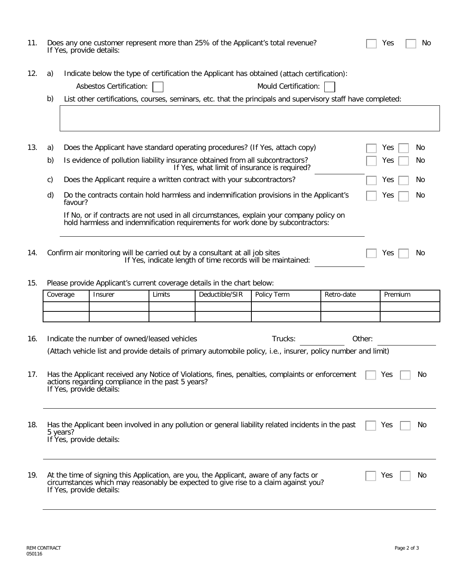| 11.                                                                                       | Does any one customer represent more than 25% of the Applicant's total revenue?<br>If Yes, provide details:                                                                                    |                                                                                                                                                                                                                                                                |                                                                         |        | Yes            | No.                                                                                                                                                                           |            |         |    |
|-------------------------------------------------------------------------------------------|------------------------------------------------------------------------------------------------------------------------------------------------------------------------------------------------|----------------------------------------------------------------------------------------------------------------------------------------------------------------------------------------------------------------------------------------------------------------|-------------------------------------------------------------------------|--------|----------------|-------------------------------------------------------------------------------------------------------------------------------------------------------------------------------|------------|---------|----|
| 12.                                                                                       | a)<br>b)                                                                                                                                                                                       | Indicate below the type of certification the Applicant has obtained (attach certification):<br>Mould Certification:<br>Asbestos Certification:<br>List other certifications, courses, seminars, etc. that the principals and supervisory staff have completed: |                                                                         |        |                |                                                                                                                                                                               |            |         |    |
|                                                                                           |                                                                                                                                                                                                |                                                                                                                                                                                                                                                                |                                                                         |        |                |                                                                                                                                                                               |            |         |    |
| 13.<br>Does the Applicant have standard operating procedures? (If Yes, attach copy)<br>a) |                                                                                                                                                                                                |                                                                                                                                                                                                                                                                |                                                                         |        |                |                                                                                                                                                                               | Yes        | No      |    |
|                                                                                           | b)<br>Is evidence of pollution liability insurance obtained from all subcontractors?<br>Yes<br>If Yes, what limit of insurance is required?                                                    |                                                                                                                                                                                                                                                                |                                                                         |        |                |                                                                                                                                                                               | No         |         |    |
| Does the Applicant require a written contract with your subcontractors?<br>Yes<br>C)      |                                                                                                                                                                                                |                                                                                                                                                                                                                                                                |                                                                         |        |                | No                                                                                                                                                                            |            |         |    |
|                                                                                           | d)                                                                                                                                                                                             | favour?                                                                                                                                                                                                                                                        |                                                                         |        |                | Do the contracts contain hold harmless and indemnification provisions in the Applicant's                                                                                      |            | Yes     | No |
|                                                                                           | If No, or if contracts are not used in all circumstances, explain your company policy on<br>hold harmless and indemnification requirements for work done by subcontractors:                    |                                                                                                                                                                                                                                                                |                                                                         |        |                |                                                                                                                                                                               |            |         |    |
|                                                                                           |                                                                                                                                                                                                |                                                                                                                                                                                                                                                                |                                                                         |        |                |                                                                                                                                                                               |            |         |    |
| 14.                                                                                       | Confirm air monitoring will be carried out by a consultant at all job sites<br>No<br>Yes<br>If Yes, indicate length of time records will be maintained:                                        |                                                                                                                                                                                                                                                                |                                                                         |        |                |                                                                                                                                                                               |            |         |    |
| 15.                                                                                       |                                                                                                                                                                                                |                                                                                                                                                                                                                                                                | Please provide Applicant's current coverage details in the chart below: |        |                |                                                                                                                                                                               |            |         |    |
|                                                                                           |                                                                                                                                                                                                | Coverage                                                                                                                                                                                                                                                       | Insurer                                                                 | Limits | Deductible/SIR | Policy Term                                                                                                                                                                   | Retro-date | Premium |    |
|                                                                                           |                                                                                                                                                                                                |                                                                                                                                                                                                                                                                |                                                                         |        |                |                                                                                                                                                                               |            |         |    |
| 16.                                                                                       |                                                                                                                                                                                                |                                                                                                                                                                                                                                                                | Indicate the number of owned/leased vehicles                            |        |                | Trucks:                                                                                                                                                                       | Other:     |         |    |
|                                                                                           | (Attach vehicle list and provide details of primary automobile policy, i.e., insurer, policy number and limit)                                                                                 |                                                                                                                                                                                                                                                                |                                                                         |        |                |                                                                                                                                                                               |            |         |    |
| 17.                                                                                       | Has the Applicant received any Notice of Violations, fines, penalties, complaints or enforcement<br>No<br>Yes<br>actions regarding compliance in the past 5 years?<br>If Yes, provide details: |                                                                                                                                                                                                                                                                |                                                                         |        |                |                                                                                                                                                                               |            |         |    |
| 18.                                                                                       | Has the Applicant been involved in any pollution or general liability related incidents in the past<br>Yes<br>No.<br>5 years?<br>If Yes, provide details:                                      |                                                                                                                                                                                                                                                                |                                                                         |        |                |                                                                                                                                                                               |            |         |    |
| 19.                                                                                       |                                                                                                                                                                                                |                                                                                                                                                                                                                                                                | If Yes, provide details:                                                |        |                | At the time of signing this Application, are you, the Applicant, aware of any facts or<br>circumstances which may reasonably be expected to give rise to a claim against you? |            | Yes     | No |